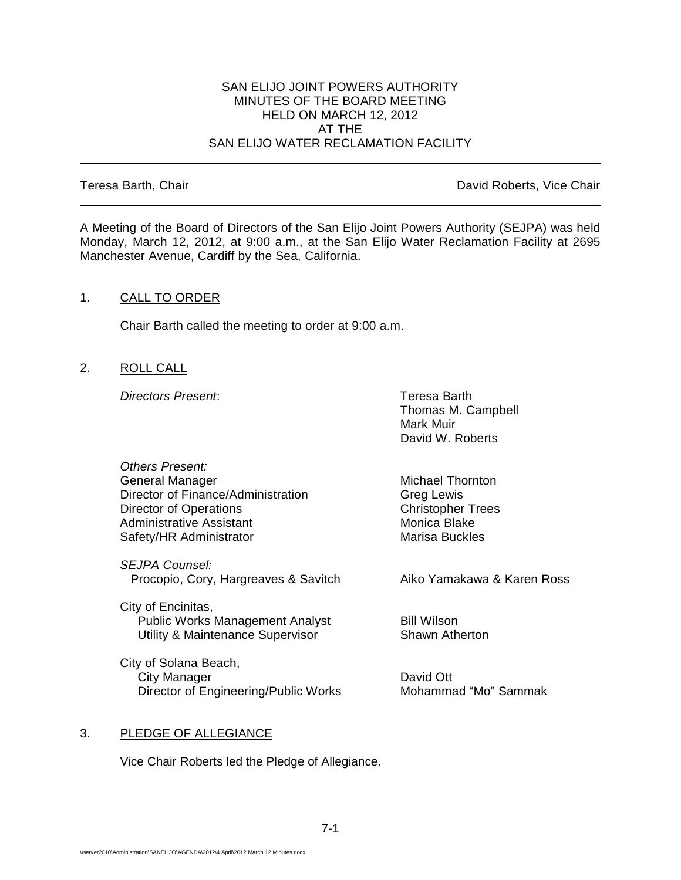## SAN ELIJO JOINT POWERS AUTHORITY MINUTES OF THE BOARD MEETING HELD ON MARCH 12, 2012 AT THE SAN ELIJO WATER RECLAMATION FACILITY

Teresa Barth, Chair **David Roberts, Vice Chair David Roberts, Vice Chair** 

A Meeting of the Board of Directors of the San Elijo Joint Powers Authority (SEJPA) was held Monday, March 12, 2012, at 9:00 a.m., at the San Elijo Water Reclamation Facility at 2695 Manchester Avenue, Cardiff by the Sea, California.

## 1. CALL TO ORDER

Chair Barth called the meeting to order at 9:00 a.m.

2. ROLL CALL

**Directors Present:** Teresa Barth

Thomas M. Campbell Mark Muir David W. Roberts

*Others Present:* General Manager Michael Thornton<br>Director of Finance/Administration Greg Lewis Director of Finance/Administration<br>
Director of Operations<br>
Christopher Trees Director of Operations<br>
Administrative Assistant<br>
Administrative Assistant<br>
Christopher Trees Administrative Assistant Monica Blake<br>
Safety/HR Administrator Marisa Buckles Safety/HR Administrator

*SEJPA Counsel:* Procopio, Cory, Hargreaves & Savitch Aiko Yamakawa & Karen Ross

City of Encinitas, Public Works Management Analyst **Bill Wilson** Utility & Maintenance Supervisor Shawn Atherton

City of Solana Beach, City Manager<br>Director of Engineering/Public Works<br>
Director of Engineering/Public Works<br>
Mohammad "Mo" Sammak Director of Engineering/Public Works

## 3. PLEDGE OF ALLEGIANCE

Vice Chair Roberts led the Pledge of Allegiance.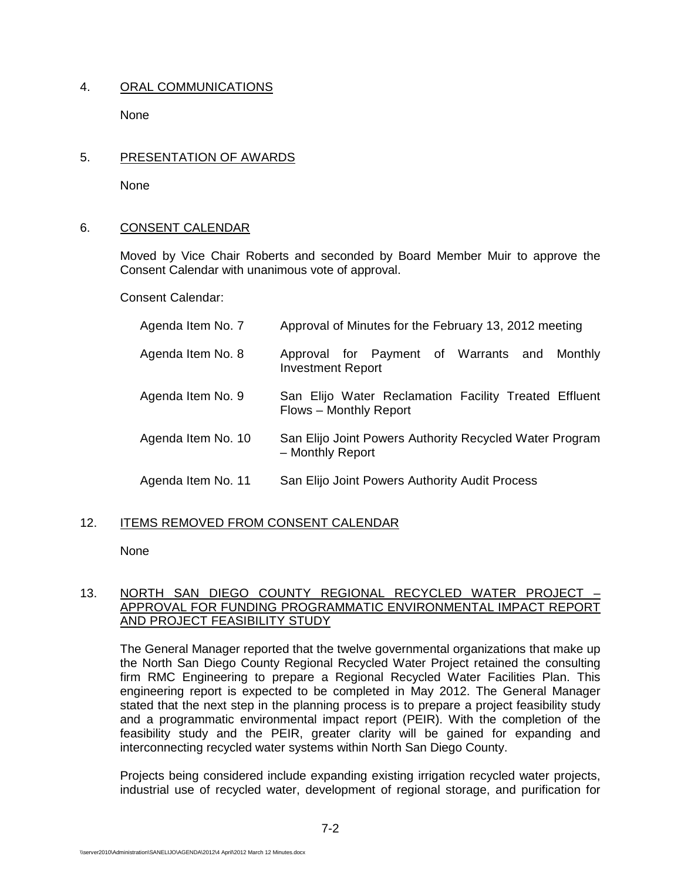# 4. ORAL COMMUNICATIONS

None

# 5. PRESENTATION OF AWARDS

None

# 6. CONSENT CALENDAR

Moved by Vice Chair Roberts and seconded by Board Member Muir to approve the Consent Calendar with unanimous vote of approval.

Consent Calendar:

| Agenda Item No. 7  | Approval of Minutes for the February 13, 2012 meeting                           |
|--------------------|---------------------------------------------------------------------------------|
| Agenda Item No. 8  | Approval for Payment of Warrants and<br>Monthly<br><b>Investment Report</b>     |
| Agenda Item No. 9  | San Elijo Water Reclamation Facility Treated Effluent<br>Flows - Monthly Report |
| Agenda Item No. 10 | San Elijo Joint Powers Authority Recycled Water Program<br>- Monthly Report     |
| Agenda Item No. 11 | San Elijo Joint Powers Authority Audit Process                                  |

# 12. ITEMS REMOVED FROM CONSENT CALENDAR

None

# 13. NORTH SAN DIEGO COUNTY REGIONAL RECYCLED WATER PROJECT – APPROVAL FOR FUNDING PROGRAMMATIC ENVIRONMENTAL IMPACT REPORT AND PROJECT FEASIBILITY STUDY

The General Manager reported that the twelve governmental organizations that make up the North San Diego County Regional Recycled Water Project retained the consulting firm RMC Engineering to prepare a Regional Recycled Water Facilities Plan. This engineering report is expected to be completed in May 2012. The General Manager stated that the next step in the planning process is to prepare a project feasibility study and a programmatic environmental impact report (PEIR). With the completion of the feasibility study and the PEIR, greater clarity will be gained for expanding and interconnecting recycled water systems within North San Diego County.

Projects being considered include expanding existing irrigation recycled water projects, industrial use of recycled water, development of regional storage, and purification for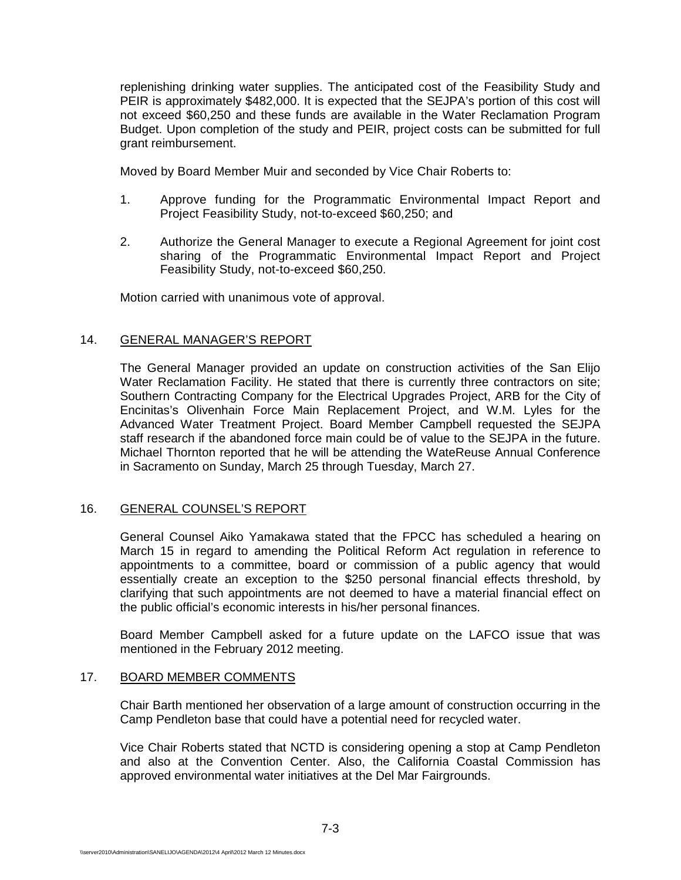replenishing drinking water supplies. The anticipated cost of the Feasibility Study and PEIR is approximately \$482,000. It is expected that the SEJPA's portion of this cost will not exceed \$60,250 and these funds are available in the Water Reclamation Program Budget. Upon completion of the study and PEIR, project costs can be submitted for full grant reimbursement.

Moved by Board Member Muir and seconded by Vice Chair Roberts to:

- 1. Approve funding for the Programmatic Environmental Impact Report and Project Feasibility Study, not-to-exceed \$60,250; and
- 2. Authorize the General Manager to execute a Regional Agreement for joint cost sharing of the Programmatic Environmental Impact Report and Project Feasibility Study, not-to-exceed \$60,250.

Motion carried with unanimous vote of approval.

# 14. GENERAL MANAGER'S REPORT

The General Manager provided an update on construction activities of the San Elijo Water Reclamation Facility. He stated that there is currently three contractors on site; Southern Contracting Company for the Electrical Upgrades Project, ARB for the City of Encinitas's Olivenhain Force Main Replacement Project, and W.M. Lyles for the Advanced Water Treatment Project. Board Member Campbell requested the SEJPA staff research if the abandoned force main could be of value to the SEJPA in the future. Michael Thornton reported that he will be attending the WateReuse Annual Conference in Sacramento on Sunday, March 25 through Tuesday, March 27.

# 16. GENERAL COUNSEL'S REPORT

General Counsel Aiko Yamakawa stated that the FPCC has scheduled a hearing on March 15 in regard to amending the Political Reform Act regulation in reference to appointments to a committee, board or commission of a public agency that would essentially create an exception to the \$250 personal financial effects threshold, by clarifying that such appointments are not deemed to have a material financial effect on the public official's economic interests in his/her personal finances.

Board Member Campbell asked for a future update on the LAFCO issue that was mentioned in the February 2012 meeting.

## 17. BOARD MEMBER COMMENTS

Chair Barth mentioned her observation of a large amount of construction occurring in the Camp Pendleton base that could have a potential need for recycled water.

Vice Chair Roberts stated that NCTD is considering opening a stop at Camp Pendleton and also at the Convention Center. Also, the California Coastal Commission has approved environmental water initiatives at the Del Mar Fairgrounds.